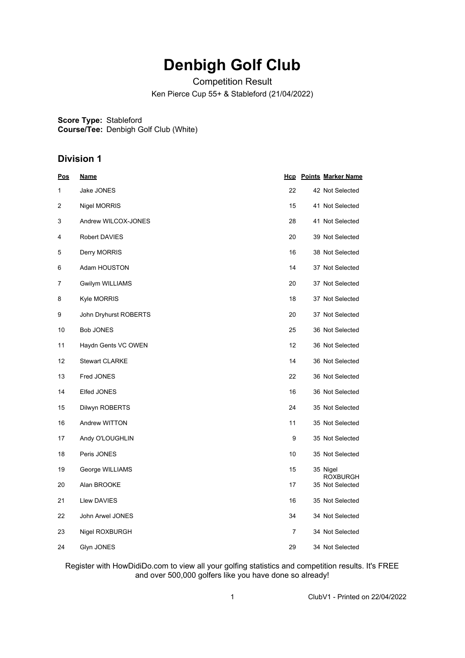## **Denbigh Golf Club**

Competition Result

Ken Pierce Cup 55+ & Stableford (21/04/2022)

**Score Type:** Stableford **Course/Tee:** Denbigh Golf Club (White)

## **Division 1**

| <u>Pos</u> | <u>Name</u>           |                | <b>Hcp</b> Points Marker Name |
|------------|-----------------------|----------------|-------------------------------|
| 1          | Jake JONES            | 22             | 42 Not Selected               |
| 2          | Nigel MORRIS          | 15             | 41 Not Selected               |
| 3          | Andrew WILCOX-JONES   | 28             | 41 Not Selected               |
| 4          | Robert DAVIES         | 20             | 39 Not Selected               |
| 5          | Derry MORRIS          | 16             | 38 Not Selected               |
| 6          | Adam HOUSTON          | 14             | 37 Not Selected               |
| 7          | Gwilym WILLIAMS       | 20             | 37 Not Selected               |
| 8          | <b>Kyle MORRIS</b>    | 18             | 37 Not Selected               |
| 9          | John Dryhurst ROBERTS | 20             | 37 Not Selected               |
| 10         | Bob JONES             | 25             | 36 Not Selected               |
| 11         | Haydn Gents VC OWEN   | 12             | 36 Not Selected               |
| 12         | <b>Stewart CLARKE</b> | 14             | 36 Not Selected               |
| 13         | Fred JONES            | 22             | 36 Not Selected               |
| 14         | Elfed JONES           | 16             | 36 Not Selected               |
| 15         | Dilwyn ROBERTS        | 24             | 35 Not Selected               |
| 16         | Andrew WITTON         | 11             | 35 Not Selected               |
| 17         | Andy O'LOUGHLIN       | 9              | 35 Not Selected               |
| 18         | Peris JONES           | 10             | 35 Not Selected               |
| 19         | George WILLIAMS       | 15             | 35 Nigel<br><b>ROXBURGH</b>   |
| 20         | Alan BROOKE           | 17             | 35 Not Selected               |
| 21         | Llew DAVIES           | 16             | 35 Not Selected               |
| 22         | John Arwel JONES      | 34             | 34 Not Selected               |
| 23         | Nigel ROXBURGH        | $\overline{7}$ | 34 Not Selected               |
| 24         | Glyn JONES            | 29             | 34 Not Selected               |

Register with HowDidiDo.com to view all your golfing statistics and competition results. It's FREE and over 500,000 golfers like you have done so already!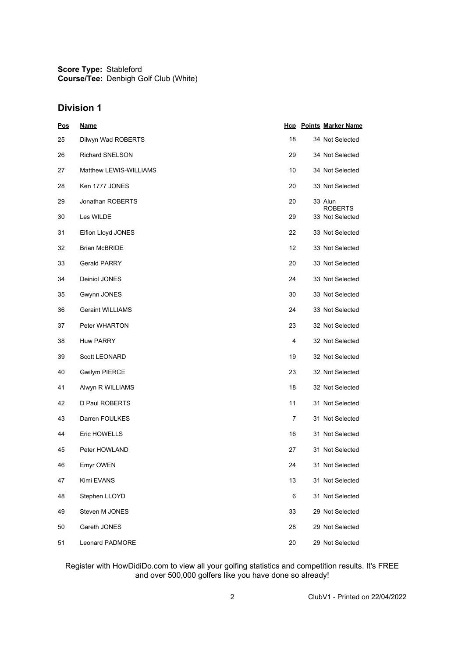**Score Type:** Stableford **Course/Tee:** Denbigh Golf Club (White)

## **Division 1**

| <u>Pos</u> | <u>Name</u>             |    | <b>Hcp</b> Points Marker Name |
|------------|-------------------------|----|-------------------------------|
| 25         | Dilwyn Wad ROBERTS      | 18 | 34 Not Selected               |
| 26         | <b>Richard SNELSON</b>  | 29 | 34 Not Selected               |
| 27         | Matthew LEWIS-WILLIAMS  | 10 | 34 Not Selected               |
| 28         | Ken 1777 JONES          | 20 | 33 Not Selected               |
| 29         | Jonathan ROBERTS        | 20 | 33 Alun<br><b>ROBERTS</b>     |
| 30         | Les WILDE               | 29 | 33 Not Selected               |
| 31         | Eifion Lloyd JONES      | 22 | 33 Not Selected               |
| 32         | <b>Brian McBRIDE</b>    | 12 | 33 Not Selected               |
| 33         | <b>Gerald PARRY</b>     | 20 | 33 Not Selected               |
| 34         | Deiniol JONES           | 24 | 33 Not Selected               |
| 35         | Gwynn JONES             | 30 | 33 Not Selected               |
| 36         | <b>Geraint WILLIAMS</b> | 24 | 33 Not Selected               |
| 37         | Peter WHARTON           | 23 | 32 Not Selected               |
| 38         | <b>Huw PARRY</b>        | 4  | 32 Not Selected               |
| 39         | Scott LEONARD           | 19 | 32 Not Selected               |
| 40         | <b>Gwilym PIERCE</b>    | 23 | 32 Not Selected               |
| 41         | Alwyn R WILLIAMS        | 18 | 32 Not Selected               |
| 42         | D Paul ROBERTS          | 11 | 31 Not Selected               |
| 43         | Darren FOULKES          | 7  | 31 Not Selected               |
| 44         | Eric HOWELLS            | 16 | 31 Not Selected               |
| 45         | Peter HOWLAND           | 27 | 31 Not Selected               |
| 46         | Emyr OWEN               | 24 | 31 Not Selected               |
| 47         | Kimi EVANS              | 13 | 31 Not Selected               |
| 48         | Stephen LLOYD           | 6  | 31 Not Selected               |
| 49         | Steven M JONES          | 33 | 29 Not Selected               |
| 50         | Gareth JONES            | 28 | 29 Not Selected               |
| 51         | Leonard PADMORE         | 20 | 29 Not Selected               |

Register with HowDidiDo.com to view all your golfing statistics and competition results. It's FREE and over 500,000 golfers like you have done so already!